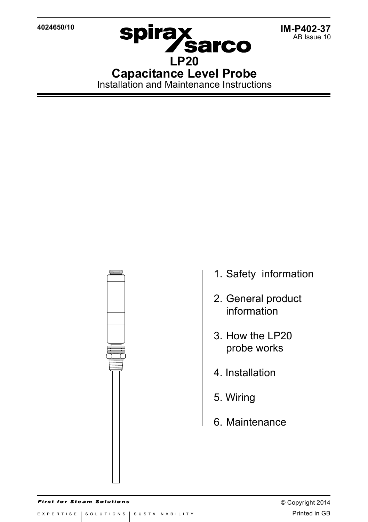**4024650/10**



**spirax<br>LP20 Capacitance Level Probe** Installation and Maintenance Instructions



- 1. Safety information
- 2. General product information
- 3. How the LP20 probe works
- 4. Installation
- 5. Wiring
- 6. Maintenance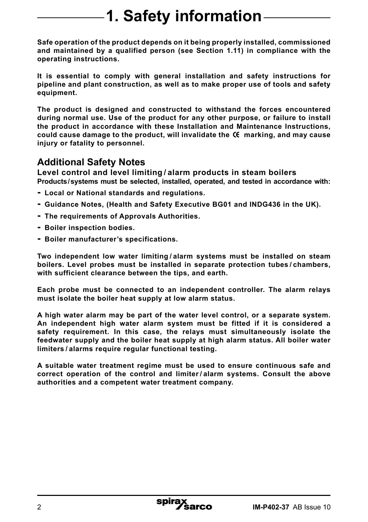# **1. Safety information**

**Safe operation of the product depends on it being properly installed, commissioned and maintained by a qualified person (see Section 1.11) in compliance with the operating instructions.**

**It is essential to comply with general installation and safety instructions for pipeline and plant construction, as well as to make proper use of tools and safety equipment.**

**The product is designed and constructed to withstand the forces encountered during normal use. Use of the product for any other purpose, or failure to install the product in accordance with these Installation and Maintenance Instructions,**  could cause damage to the product, will invalidate the  $\epsilon$  marking, and may cause **injury or fatality to personnel.**

## **Additional Safety Notes**

**Level control and level limiting / alarm products in steam boilers Products/systems must be selected, installed, operated, and tested in accordance with:**

- **- Local or National standards and regulations.**
- **- Guidance Notes, (Health and Safety Executive BG01 and INDG436 in the UK).**
- **- The requirements of Approvals Authorities.**
- **- Boiler inspection bodies.**
- **- Boiler manufacturer's specifications.**

**Two independent low water limiting / alarm systems must be installed on steam boilers. Level probes must be installed in separate protection tubes / chambers, with sufficient clearance between the tips, and earth.**

**Each probe must be connected to an independent controller. The alarm relays must isolate the boiler heat supply at low alarm status.**

**A high water alarm may be part of the water level control, or a separate system. An independent high water alarm system must be fitted if it is considered a safety requirement. In this case, the relays must simultaneously isolate the feedwater supply and the boiler heat supply at high alarm status. All boiler water limiters / alarms require regular functional testing.**

**A suitable water treatment regime must be used to ensure continuous safe and correct operation of the control and limiter / alarm systems. Consult the above authorities and a competent water treatment company.**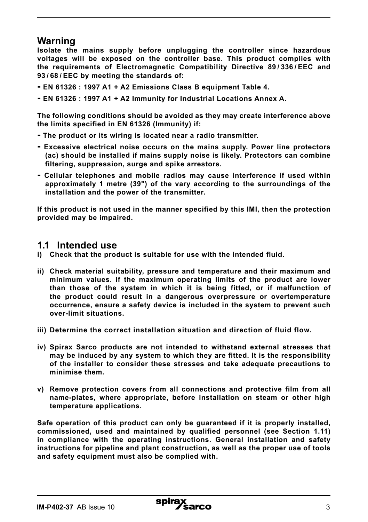## **Warning**

**Isolate the mains supply before unplugging the controller since hazardous voltages will be exposed on the controller base. This product complies with the requirements of Electromagnetic Compatibility Directive 89 / 336 / EEC and 93 / 68 / EEC by meeting the standards of:**

- **EN 61326 : 1997 A1 + A2 Emissions Class B equipment Table 4.**
- **EN 61326 : 1997 A1 + A2 Immunity for Industrial Locations Annex A.**

**The following conditions should be avoided as they may create interference above the limits specified in EN 61326 (Immunity) if:**

- **The product or its wiring is located near a radio transmitter.**
- **Excessive electrical noise occurs on the mains supply. Power line protectors (ac) should be installed if mains supply noise is likely. Protectors can combine filtering, suppression, surge and spike arrestors.**
- **Cellular telephones and mobile radios may cause interference if used within approximately 1 metre (39") of the vary according to the surroundings of the installation and the power of the transmitter.**

**If this product is not used in the manner specified by this IMI, then the protection provided may be impaired.**

#### **1.1 Intended use**

- **i) Check that the product is suitable for use with the intended fluid.**
- **ii) Check material suitability, pressure and temperature and their maximum and minimum values. If the maximum operating limits of the product are lower than those of the system in which it is being fitted, or if malfunction of the product could result in a dangerous overpressure or overtemperature occurrence, ensure a safety device is included in the system to prevent such over-limit situations.**
- **iii) Determine the correct installation situation and direction of fluid flow.**
- **iv) Spirax Sarco products are not intended to withstand external stresses that may be induced by any system to which they are fitted. It is the responsibility of the installer to consider these stresses and take adequate precautions to minimise them.**
- **v) Remove protection covers from all connections and protective film from all name-plates, where appropriate, before installation on steam or other high temperature applications.**

**Safe operation of this product can only be guaranteed if it is properly installed, commissioned, used and maintained by qualified personnel (see Section 1.11) in compliance with the operating instructions. General installation and safety instructions for pipeline and plant construction, as well as the proper use of tools and safety equipment must also be complied with.**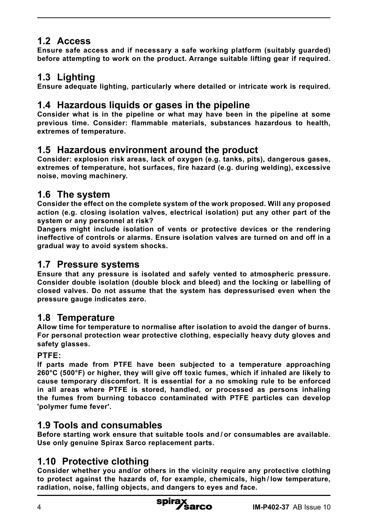## **1.2 Access**

**Ensure safe access and if necessary a safe working platform (suitably guarded) before attempting to work on the product. Arrange suitable lifting gear if required.**

## **1.3 Lighting**

**Ensure adequate lighting, particularly where detailed or intricate work is required.**

### **1.4 Hazardous liquids or gases in the pipeline**

**Consider what is in the pipeline or what may have been in the pipeline at some previous time. Consider: flammable materials, substances hazardous to health, extremes of temperature.**

### **1.5 Hazardous environment around the product**

**Consider: explosion risk areas, lack of oxygen (e.g. tanks, pits), dangerous gases, extremes of temperature, hot surfaces, fire hazard (e.g. during welding), excessive noise, moving machinery.**

### **1.6 The system**

**Consider the effect on the complete system of the work proposed. Will any proposed action (e.g. closing isolation valves, electrical isolation) put any other part of the system or any personnel at risk?**

**Dangers might include isolation of vents or protective devices or the rendering ineffective of controls or alarms. Ensure isolation valves are turned on and off in a gradual way to avoid system shocks.**

#### **1.7 Pressure systems**

**Ensure that any pressure is isolated and safely vented to atmospheric pressure. Consider double isolation (double block and bleed) and the locking or labelling of closed valves. Do not assume that the system has depressurised even when the pressure gauge indicates zero.**

#### **1.8 Temperature**

**Allow time for temperature to normalise after isolation to avoid the danger of burns. For personal protection wear protective clothing, especially heavy duty gloves and safety glasses.**

#### **PTFE:**

**If parts made from PTFE have been subjected to a temperature approaching 260°C (500°F) or higher, they will give off toxic fumes, which if inhaled are likely to cause temporary discomfort. It is essential for a no smoking rule to be enforced in all areas where PTFE is stored, handled, or processed as persons inhaling the fumes from burning tobacco contaminated with PTFE particles can develop 'polymer fume fever'.**

#### **1.9 Tools and consumables**

**Before starting work ensure that suitable tools and / or consumables are available. Use only genuine Spirax Sarco replacement parts.**

## **1.10 Protective clothing**

**Consider whether you and/or others in the vicinity require any protective clothing to protect against the hazards of, for example, chemicals, high / low temperature, radiation, noise, falling objects, and dangers to eyes and face.**

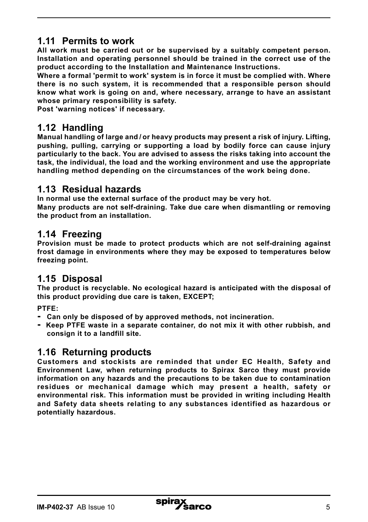## **1.11 Permits to work**

**All work must be carried out or be supervised by a suitably competent person. Installation and operating personnel should be trained in the correct use of the product according to the Installation and Maintenance Instructions.**

**Where a formal 'permit to work' system is in force it must be complied with. Where there is no such system, it is recommended that a responsible person should know what work is going on and, where necessary, arrange to have an assistant whose primary responsibility is safety.**

**Post 'warning notices' if necessary.**

### **1.12 Handling**

**Manual handling of large and / or heavy products may present a risk of injury. Lifting, pushing, pulling, carrying or supporting a load by bodily force can cause injury particularly to the back. You are advised to assess the risks taking into account the task, the individual, the load and the working environment and use the appropriate handling method depending on the circumstances of the work being done.**

#### **1.13 Residual hazards**

**In normal use the external surface of the product may be very hot.**

**Many products are not self-draining. Take due care when dismantling or removing the product from an installation.**

## **1.14 Freezing**

**Provision must be made to protect products which are not self-draining against frost damage in environments where they may be exposed to temperatures below freezing point.**

## **1.15 Disposal**

**The product is recyclable. No ecological hazard is anticipated with the disposal of this product providing due care is taken, EXCEPT;**

**PTFE:**

- **- Can only be disposed of by approved methods, not incineration.**
- **- Keep PTFE waste in a separate container, do not mix it with other rubbish, and consign it to a landfill site.**

## **1.16 Returning products**

**Customers and stockists are reminded that under EC Health, Safety and Environment Law, when returning products to Spirax Sarco they must provide information on any hazards and the precautions to be taken due to contamination residues or mechanical damage which may present a health, safety or environmental risk. This information must be provided in writing including Health and Safety data sheets relating to any substances identified as hazardous or potentially hazardous.**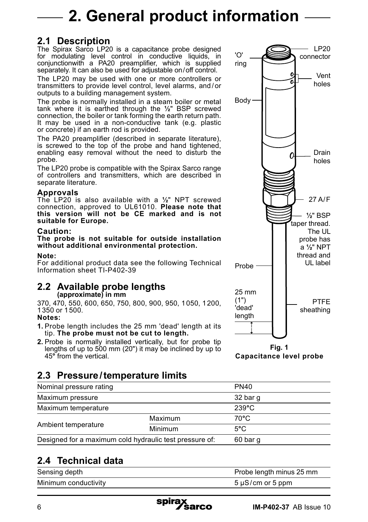# **2. General product information**

## **2.1 Description**

The Spirax Sarco LP20 is a capacitance probe designed for modulating level control in conductive liquids, in conjunctionwith a PA20 preamplifier, which is supplied separately. It can also be used for adjustable on/off control.

The LP20 may be used with one or more controllers or transmitters to provide level control, level alarms, and / or outputs to a building management system.

The probe is normally installed in a steam boiler or metal tank where it is earthed through the **½**" BSP screwed connection, the boiler or tank forming the earth return path. It may be used in a non-conductive tank (e.g. plastic or concrete) if an earth rod is provided.

The PA20 preamplifier (described in separate literature), is screwed to the top of the probe and hand tightened, enabling easy removal without the need to disturb the probe.

The LP20 probe is compatible with the Spirax Sarco range of controllers and transmitters, which are described in separate literature.

#### **Approvals**

The LP20 is also available with a **½**" NPT screwed connection, approved to UL61010. **Please note that this version will not be CE marked and is not suitable for Europe.**

#### **Caution:**

**The probe is not suitable for outside installation without additional environmental protection.**

#### **Note:**

For additional product data see the following Technical Information sheet TI-P402-39

#### **2.2 Available probe lengths (approximate) in mm**

370, 470, 550, 600, 650, 750, 800, 900, 950, 1050, 1200, 1350 or 1500.

#### **Notes:**

- **1.** Probe length includes the 25 mm 'dead' length at its tip. **The probe must not be cut to length.**
- **2.** Probe is normally installed vertically, but for probe tip lengths of up to 500 mm (20") it may be inclined by up to 45**°** from the vertical.

## **2.3 Pressure/temperature limits**

| Nominal pressure rating                                 |                | <b>PN40</b>     |  |
|---------------------------------------------------------|----------------|-----------------|--|
| Maximum pressure                                        |                | 32 bar q        |  |
| Maximum temperature                                     |                | $239^{\circ}$ C |  |
| Ambient temperature                                     | Maximum        | 70°C            |  |
|                                                         | <b>Minimum</b> | $5^{\circ}$ C   |  |
| Designed for a maximum cold hydraulic test pressure of: |                | 60 bar q        |  |

## **2.4 Technical data**

| Sensing depth        | Probe length minus 25 mm |
|----------------------|--------------------------|
| Minimum conductivity | $5 \mu S/cm$ or 5 ppm    |



**Fig. 1 Capacitance level probe**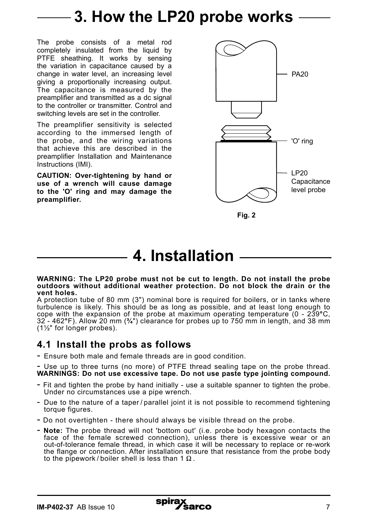# **3. How the LP20 probe works**

The probe consists of a metal rod completely insulated from the liquid by PTFE sheathing. It works by sensing the variation in capacitance caused by a change in water level, an increasing level giving a proportionally increasing output. The capacitance is measured by the preamplifier and transmitted as a dc signal to the controller or transmitter. Control and switching levels are set in the controller.

The preamplifier sensitivity is selected according to the immersed length of the probe, and the wiring variations that achieve this are described in the preamplifier Installation and Maintenance Instructions (IMI).

**CAUTION: Over-tightening by hand or use of a wrench will cause damage to the 'O' ring and may damage the preamplifier.**



**Fig. 2**

# **4. Installation**

#### **WARNING: The LP20 probe must not be cut to length. Do not install the probe outdoors without additional weather protection. Do not block the drain or the vent holes.**

A protection tube of 80 mm (3") nominal bore is required for boilers, or in tanks where turbulence is likely. This should be as long as possible, and at least long enough to cope with the expansion of the probe at maximum operating temperature (0 - 239**°**C, 32 - 462**°**F). Allow 20 mm (**¾**") clearance for probes up to 750 mm in length, and 38 mm  $(1\frac{1}{2})^n$  for longer probes).

## **4.1 Install the probs as follows**

- Ensure both male and female threads are in good condition.

- Use up to three turns (no more) of PTFE thread sealing tape on the probe thread. **WARNINGS: Do not use excessive tape. Do not use paste type jointing compound.**

- Fit and tighten the probe by hand initially use a suitable spanner to tighten the probe. Under no circumstances use a pipe wrench.
- Due to the nature of a taper / parallel joint it is not possible to recommend tightening torque figures.
- Do not overtighten there should always be visible thread on the probe.
- **Note:** The probe thread will not 'bottom out' (i.e. probe body hexagon contacts the face of the female screwed connection), unless there is excessive wear or an out-of-tolerance female thread, in which case it will be necessary to replace or re-work the flange or connection. After installation ensure that resistance from the probe body to the pipework/boiler shell is less than 1  $\Omega$ .